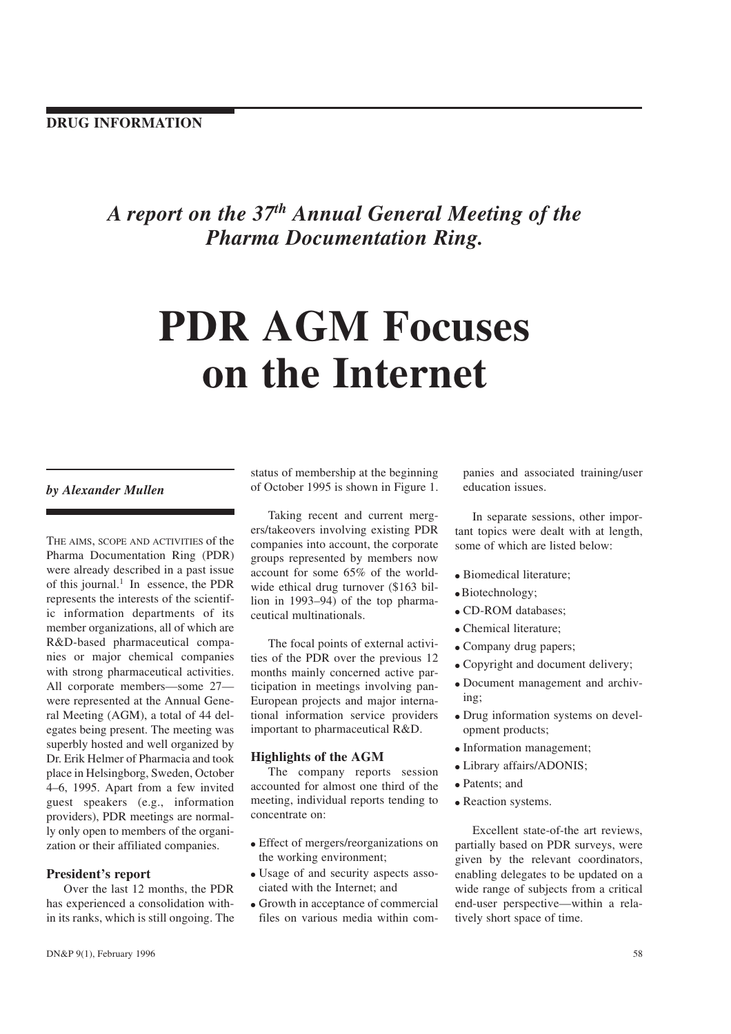# A report on the  $37<sup>th</sup>$  Annual General Meeting of the Pharma Documentation Ring.

# PDR AGM Focuses on the Internet

# by Alexander Mullen

THE AIMS, SCOPE AND ACTIVITIES of the Pharma Documentation Ring (PDR) were already described in a past issue of this journal.<sup>1</sup> In essence, the PDR represents the interests of the scientific information departments of its member organizations, all of which are R&D-based pharmaceutical companies or major chemical companies with strong pharmaceutical activities. All corporate members—some 27 were represented at the Annual General Meeting (AGM), a total of 44 delegates being present. The meeting was superbly hosted and well organized by Dr. Erik Helmer of Pharmacia and took place in Helsingborg, Sweden, October 46, 1995. Apart from a few invited guest speakers (e.g., information providers), PDR meetings are normally only open to members of the organization or their affiliated companies.

#### President's report

Over the last 12 months, the PDR has experienced a consolidation within its ranks, which is still ongoing. The status of membership at the beginning of October 1995 is shown in Figure 1.

Taking recent and current mergers/takeovers involving existing PDR companies into account, the corporate groups represented by members now account for some 65% of the worldwide ethical drug turnover (\$163 billion in  $1993-94$ ) of the top pharmaceutical multinationals.

The focal points of external activities of the PDR over the previous 12 months mainly concerned active participation in meetings involving pan-European projects and major international information service providers important to pharmaceutical R&D.

#### Highlights of the AGM

The company reports session accounted for almost one third of the meeting, individual reports tending to concentrate on:

- Effect of mergers/reorganizations on the working environment;
- Usage of and security aspects associated with the Internet; and
- Growth in acceptance of commercial files on various media within com-

panies and associated training/user education issues.

In separate sessions, other important topics were dealt with at length, some of which are listed below:

- Biomedical literature:
- $\bullet$  Biotechnology;
- CD-ROM databases;
- Chemical literature;
- Company drug papers;
- Copyright and document delivery;
- Document management and archiving;
- Drug information systems on development products;
- Information management:
- Library affairs/ADONIS;
- Patents: and
- Reaction systems.

Excellent state-of-the art reviews, partially based on PDR surveys, were given by the relevant coordinators, enabling delegates to be updated on a wide range of subjects from a critical end-user perspective—within a relatively short space of time.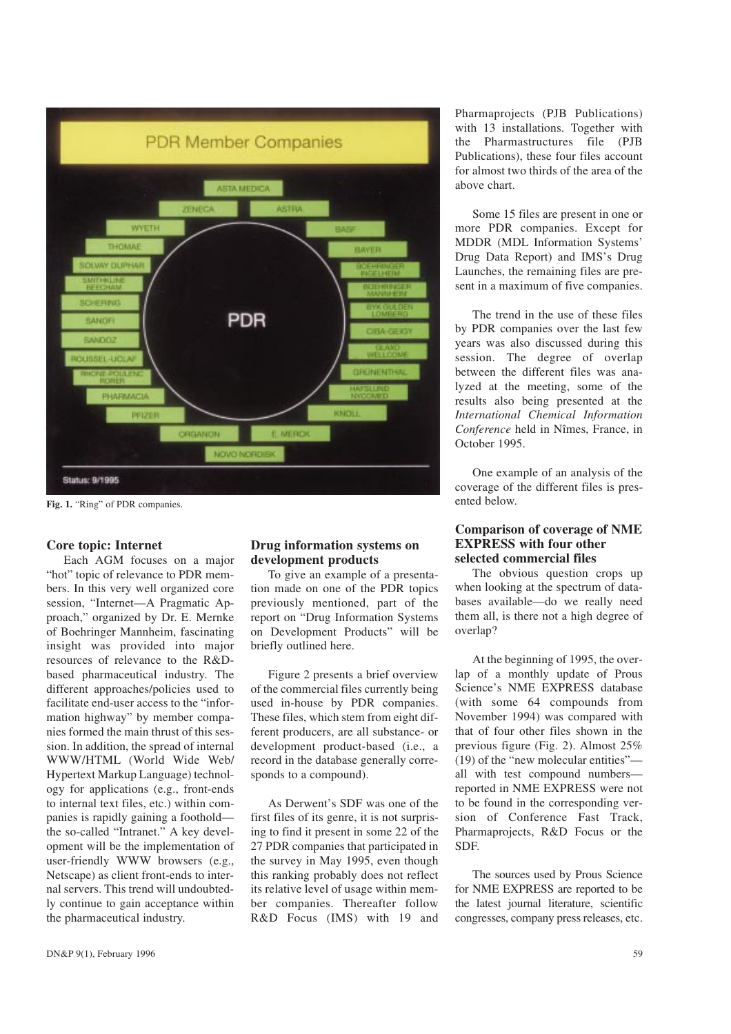

Fig. 1. "Ring" of PDR companies.

#### Core topic: Internet

Each AGM focuses on a major "hot" topic of relevance to PDR members. In this very well organized core session, "Internet-A Pragmatic Approach," organized by Dr. E. Mernke of Boehringer Mannheim, fascinating insight was provided into major resources of relevance to the R&Dbased pharmaceutical industry. The different approaches/policies used to facilitate end-user access to the "information highway" by member companies formed the main thrust of this session. In addition, the spread of internal WWW/HTML (World Wide Web/ Hypertext Markup Language) technology for applications (e.g., front-ends to internal text files, etc.) within companies is rapidly gaining a foothold the so-called "Intranet." A key development will be the implementation of user-friendly WWW browsers (e.g., Netscape) as client front-ends to internal servers. This trend will undoubtedly continue to gain acceptance within the pharmaceutical industry.

### Drug information systems on development products

To give an example of a presentation made on one of the PDR topics previously mentioned, part of the report on "Drug Information Systems" on Development Products" will be briefly outlined here.

Figure 2 presents a brief overview of the commercial files currently being used in-house by PDR companies. These files, which stem from eight different producers, are all substance- or development product-based (i.e., a record in the database generally corresponds to a compound).

As Derwent's SDF was one of the first files of its genre, it is not surprising to find it present in some 22 of the 27 PDR companies that participated in the survey in May 1995, even though this ranking probably does not reflect its relative level of usage within member companies. Thereafter follow R&D Focus (IMS) with 19 and

Pharmaprojects (PJB Publications) with 13 installations. Together with the Pharmastructures file (PJB Publications), these four files account for almost two thirds of the area of the above chart.

Some 15 files are present in one or more PDR companies. Except for MDDR (MDL Information Systems Drug Data Report) and IMS's Drug Launches, the remaining files are present in a maximum of five companies.

The trend in the use of these files by PDR companies over the last few years was also discussed during this session. The degree of overlap between the different files was analyzed at the meeting, some of the results also being presented at the International Chemical Information Conference held in Nîmes, France, in October 1995.

One example of an analysis of the coverage of the different files is presented below.

#### Comparison of coverage of NME EXPRESS with four other selected commercial files

The obvious question crops up when looking at the spectrum of databases available-do we really need them all, is there not a high degree of overlap?

At the beginning of 1995, the overlap of a monthly update of Prous Science's NME EXPRESS database (with some 64 compounds from November 1994) was compared with that of four other files shown in the previous figure (Fig. 2). Almost 25%  $(19)$  of the "new molecular entities" all with test compound numbers reported in NME EXPRESS were not to be found in the corresponding version of Conference Fast Track, Pharmaprojects, R&D Focus or the SDF.

The sources used by Prous Science for NME EXPRESS are reported to be the latest journal literature, scientific congresses, company press releases, etc.